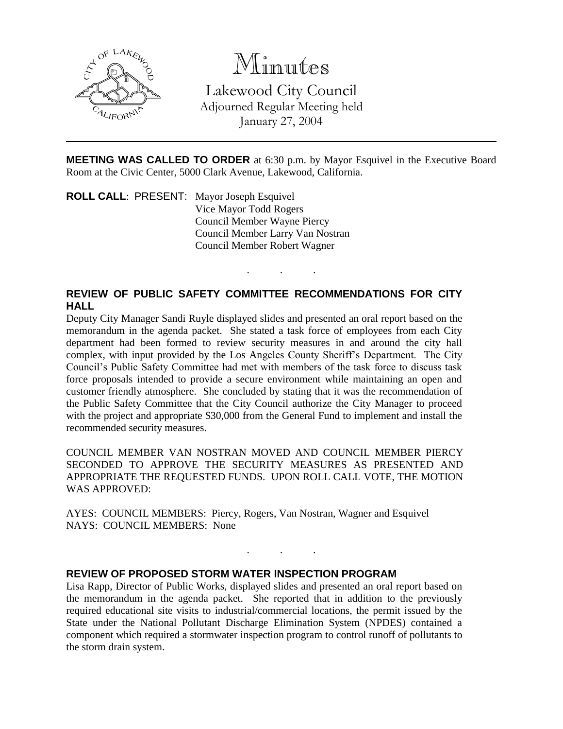

## Minutes

Lakewood City Council Adjourned Regular Meeting held January 27, 2004

**MEETING WAS CALLED TO ORDER** at 6:30 p.m. by Mayor Esquivel in the Executive Board Room at the Civic Center, 5000 Clark Avenue, Lakewood, California.

. . .

**ROLL CALL**: PRESENT: Mayor Joseph Esquivel Vice Mayor Todd Rogers Council Member Wayne Piercy Council Member Larry Van Nostran Council Member Robert Wagner

## **REVIEW OF PUBLIC SAFETY COMMITTEE RECOMMENDATIONS FOR CITY HALL**

Deputy City Manager Sandi Ruyle displayed slides and presented an oral report based on the memorandum in the agenda packet. She stated a task force of employees from each City department had been formed to review security measures in and around the city hall complex, with input provided by the Los Angeles County Sheriff's Department. The City Council's Public Safety Committee had met with members of the task force to discuss task force proposals intended to provide a secure environment while maintaining an open and customer friendly atmosphere. She concluded by stating that it was the recommendation of the Public Safety Committee that the City Council authorize the City Manager to proceed with the project and appropriate \$30,000 from the General Fund to implement and install the recommended security measures.

COUNCIL MEMBER VAN NOSTRAN MOVED AND COUNCIL MEMBER PIERCY SECONDED TO APPROVE THE SECURITY MEASURES AS PRESENTED AND APPROPRIATE THE REQUESTED FUNDS. UPON ROLL CALL VOTE, THE MOTION WAS APPROVED:

AYES: COUNCIL MEMBERS: Piercy, Rogers, Van Nostran, Wagner and Esquivel NAYS: COUNCIL MEMBERS: None

## **REVIEW OF PROPOSED STORM WATER INSPECTION PROGRAM**

Lisa Rapp, Director of Public Works, displayed slides and presented an oral report based on the memorandum in the agenda packet. She reported that in addition to the previously required educational site visits to industrial/commercial locations, the permit issued by the State under the National Pollutant Discharge Elimination System (NPDES) contained a component which required a stormwater inspection program to control runoff of pollutants to the storm drain system.

. . .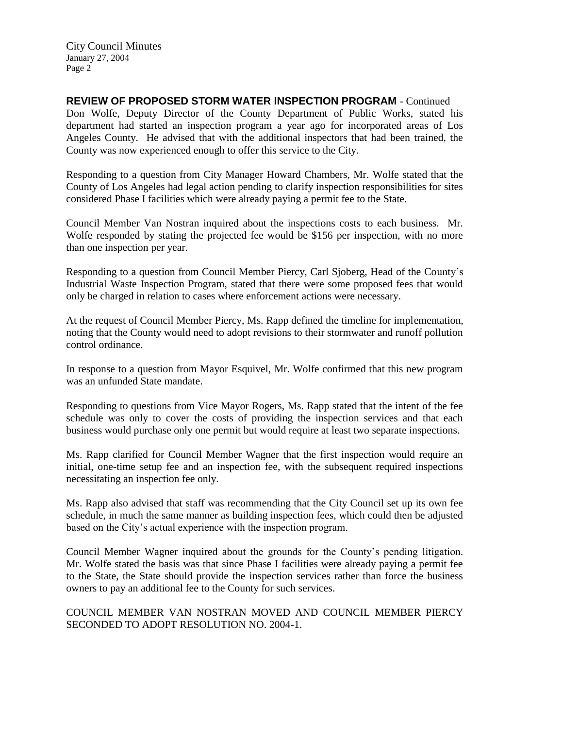City Council Minutes January 27, 2004 Page 2

**REVIEW OF PROPOSED STORM WATER INSPECTION PROGRAM** - Continued Don Wolfe, Deputy Director of the County Department of Public Works, stated his department had started an inspection program a year ago for incorporated areas of Los Angeles County. He advised that with the additional inspectors that had been trained, the County was now experienced enough to offer this service to the City.

Responding to a question from City Manager Howard Chambers, Mr. Wolfe stated that the County of Los Angeles had legal action pending to clarify inspection responsibilities for sites considered Phase I facilities which were already paying a permit fee to the State.

Council Member Van Nostran inquired about the inspections costs to each business. Mr. Wolfe responded by stating the projected fee would be \$156 per inspection, with no more than one inspection per year.

Responding to a question from Council Member Piercy, Carl Sjoberg, Head of the County's Industrial Waste Inspection Program, stated that there were some proposed fees that would only be charged in relation to cases where enforcement actions were necessary.

At the request of Council Member Piercy, Ms. Rapp defined the timeline for implementation, noting that the County would need to adopt revisions to their stormwater and runoff pollution control ordinance.

In response to a question from Mayor Esquivel, Mr. Wolfe confirmed that this new program was an unfunded State mandate.

Responding to questions from Vice Mayor Rogers, Ms. Rapp stated that the intent of the fee schedule was only to cover the costs of providing the inspection services and that each business would purchase only one permit but would require at least two separate inspections.

Ms. Rapp clarified for Council Member Wagner that the first inspection would require an initial, one-time setup fee and an inspection fee, with the subsequent required inspections necessitating an inspection fee only.

Ms. Rapp also advised that staff was recommending that the City Council set up its own fee schedule, in much the same manner as building inspection fees, which could then be adjusted based on the City's actual experience with the inspection program.

Council Member Wagner inquired about the grounds for the County's pending litigation. Mr. Wolfe stated the basis was that since Phase I facilities were already paying a permit fee to the State, the State should provide the inspection services rather than force the business owners to pay an additional fee to the County for such services.

COUNCIL MEMBER VAN NOSTRAN MOVED AND COUNCIL MEMBER PIERCY SECONDED TO ADOPT RESOLUTION NO. 2004-1.